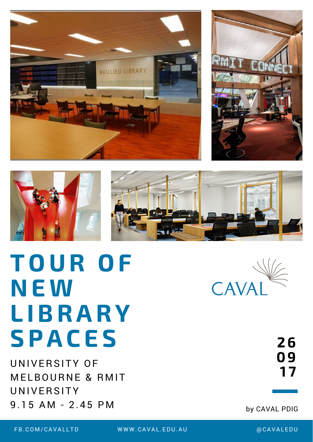





## **TOUR OF N EW L IBRARY SPAC E S**

UNIVERSITY OF **MELBOURNE & RMIT** UNIVERSITY 9 . 1 5 A M - 2 . 4 5 P M



by CAVAL PDIG

FB.COM/CAVALLTD WWW.CAVAL.EDU.AU @CAVALEDU